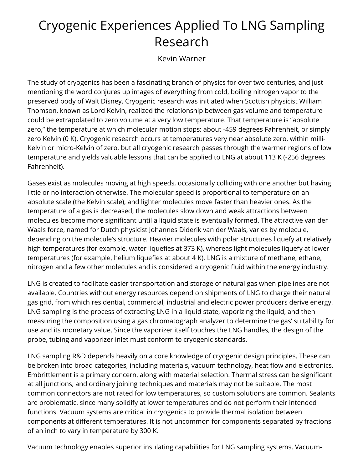## Cryogenic Experiences Applied To LNG Sampling Research

Kevin Warner

The study of cryogenics has been a fascinating branch of physics for over two centuries, and just mentioning the word conjures up images of everything from cold, boiling nitrogen vapor to the preserved body of Walt Disney. Cryogenic research was initiated when Scottish physicist William Thomson, known as Lord Kelvin, realized the relationship between gas volume and temperature could be extrapolated to zero volume at a very low temperature. That temperature is "absolute zero," the temperature at which molecular motion stops: about -459 degrees Fahrenheit, or simply zero Kelvin (0 K). Cryogenic research occurs at temperatures very near absolute zero, within milli-Kelvin or micro-Kelvin of zero, but all cryogenic research passes through the warmer regions of low temperature and yields valuable lessons that can be applied to LNG at about 113 K (-256 degrees Fahrenheit).

Gases exist as molecules moving at high speeds, occasionally colliding with one another but having little or no interaction otherwise. The molecular speed is proportional to temperature on an absolute scale (the Kelvin scale), and lighter molecules move faster than heavier ones. As the temperature of a gas is decreased, the molecules slow down and weak attractions between molecules become more significant until a liquid state is eventually formed. The attractive van der Waals force, named for Dutch physicist Johannes Diderik van der Waals, varies by molecule, depending on the molecule's structure. Heavier molecules with polar structures liquefy at relatively high temperatures (for example, water liquefies at 373 K), whereas light molecules liquefy at lower temperatures (for example, helium liquefies at about 4 K). LNG is a mixture of methane, ethane, nitrogen and a few other molecules and is considered a cryogenic fluid within the energy industry.

LNG is created to facilitate easier transportation and storage of natural gas when pipelines are not available. Countries without energy resources depend on shipments of LNG to charge their natural gas grid, from which residential, commercial, industrial and electric power producers derive energy. LNG sampling is the process of extracting LNG in a liquid state, vaporizing the liquid, and then measuring the composition using a gas chromatograph analyzer to determine the gas' suitability for use and its monetary value. Since the vaporizer itself touches the LNG handles, the design of the probe, tubing and vaporizer inlet must conform to cryogenic standards.

LNG sampling R&D depends heavily on a core knowledge of cryogenic design principles. These can be broken into broad categories, including materials, vacuum technology, heat flow and electronics. Embrittlement is a primary concern, along with material selection. Thermal stress can be significant at all junctions, and ordinary joining techniques and materials may not be suitable. The most common connectors are not rated for low temperatures, so custom solutions are common. Sealants are problematic, since many solidify at lower temperatures and do not perform their intended functions. Vacuum systems are critical in cryogenics to provide thermal isolation between components at different temperatures. It is not uncommon for components separated by fractions of an inch to vary in temperature by 300 K.

Vacuum technology enables superior insulating capabilities for LNG sampling systems. Vacuum-